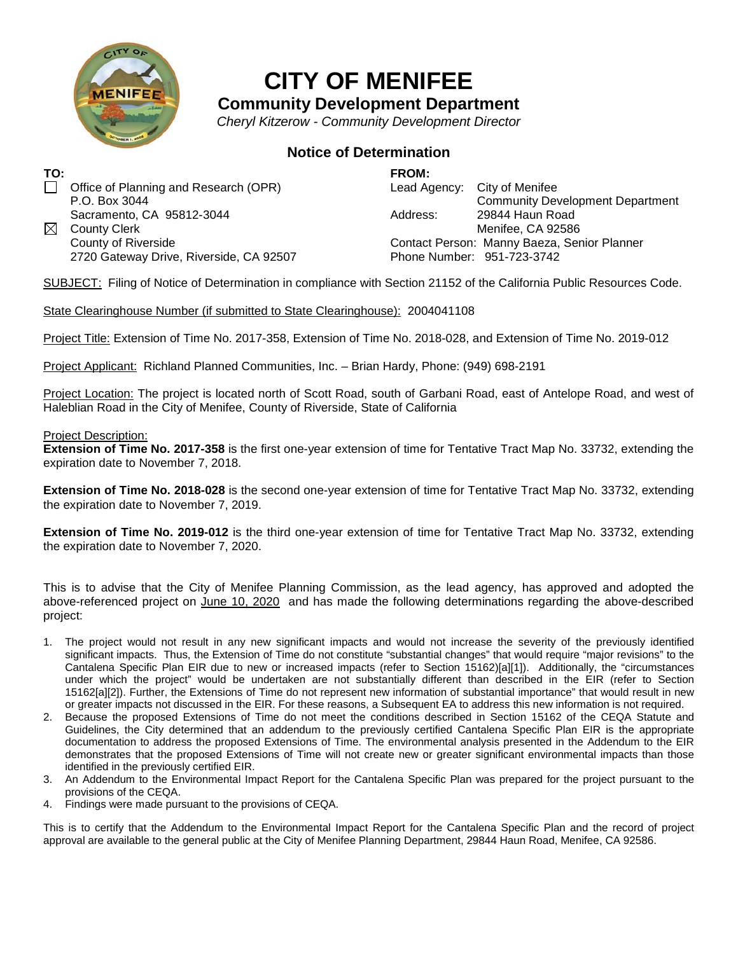

# **CITY OF MENIFEE**

## **Community Development Department**

*Cheryl Kitzerow - Community Development Director*

## **Notice of Determination**

**FROM:**

**TO:**  $\Box$  Office of Planning and Research (OPR) P.O. Box 3044 Sacramento, CA 95812-3044  $\boxtimes$  County Clerk County of Riverside 2720 Gateway Drive, Riverside, CA 92507

Lead Agency: City of Menifee Community Development Department Address: 29844 Haun Road Menifee, CA 92586 Contact Person: Manny Baeza, Senior Planner Phone Number: 951-723-3742

SUBJECT: Filing of Notice of Determination in compliance with Section 21152 of the California Public Resources Code.

State Clearinghouse Number (if submitted to State Clearinghouse): 2004041108

Project Title: Extension of Time No. 2017-358, Extension of Time No. 2018-028, and Extension of Time No. 2019-012

Project Applicant: Richland Planned Communities, Inc. – Brian Hardy, Phone: (949) 698-2191

Project Location: The project is located north of Scott Road, south of Garbani Road, east of Antelope Road, and west of Haleblian Road in the City of Menifee, County of Riverside, State of California

#### Project Description:

**Extension of Time No. 2017-358** is the first one-year extension of time for Tentative Tract Map No. 33732, extending the expiration date to November 7, 2018.

**Extension of Time No. 2018-028** is the second one-year extension of time for Tentative Tract Map No. 33732, extending the expiration date to November 7, 2019.

**Extension of Time No. 2019-012** is the third one-year extension of time for Tentative Tract Map No. 33732, extending the expiration date to November 7, 2020.

This is to advise that the City of Menifee Planning Commission, as the lead agency, has approved and adopted the above-referenced project on June 10, 2020 and has made the following determinations regarding the above-described project:

- 1. The project would not result in any new significant impacts and would not increase the severity of the previously identified significant impacts. Thus, the Extension of Time do not constitute "substantial changes" that would require "major revisions" to the Cantalena Specific Plan EIR due to new or increased impacts (refer to Section 15162)[a][1]). Additionally, the "circumstances under which the project" would be undertaken are not substantially different than described in the EIR (refer to Section 15162[a][2]). Further, the Extensions of Time do not represent new information of substantial importance" that would result in new or greater impacts not discussed in the EIR. For these reasons, a Subsequent EA to address this new information is not required.
- 2. Because the proposed Extensions of Time do not meet the conditions described in Section 15162 of the CEQA Statute and Guidelines, the City determined that an addendum to the previously certified Cantalena Specific Plan EIR is the appropriate documentation to address the proposed Extensions of Time. The environmental analysis presented in the Addendum to the EIR demonstrates that the proposed Extensions of Time will not create new or greater significant environmental impacts than those identified in the previously certified EIR.
- 3. An Addendum to the Environmental Impact Report for the Cantalena Specific Plan was prepared for the project pursuant to the provisions of the CEQA.
- 4. Findings were made pursuant to the provisions of CEQA.

This is to certify that the Addendum to the Environmental Impact Report for the Cantalena Specific Plan and the record of project approval are available to the general public at the City of Menifee Planning Department, 29844 Haun Road, Menifee, CA 92586.